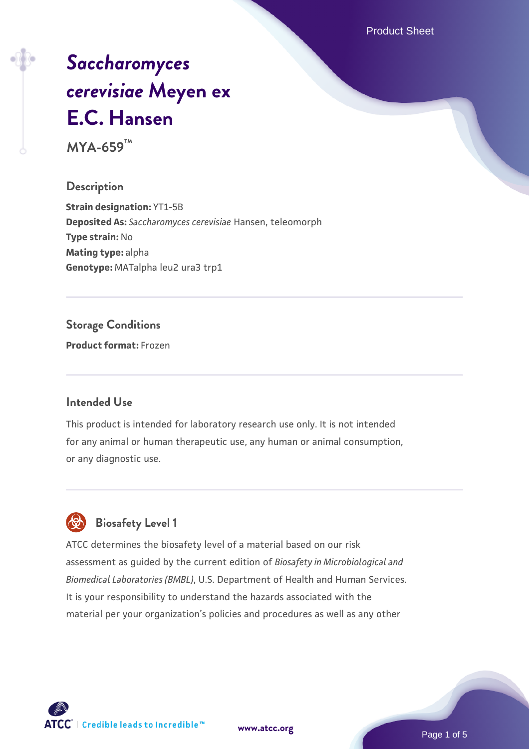Product Sheet

# *[Saccharomyces](https://www.atcc.org/products/mya-659) [cerevisiae](https://www.atcc.org/products/mya-659)* **[Meyen ex](https://www.atcc.org/products/mya-659) [E.C. Hansen](https://www.atcc.org/products/mya-659)**

**MYA-659™**

#### **Description**

**Strain designation:** YT1-5B **Deposited As:** *Saccharomyces cerevisiae* Hansen, teleomorph **Type strain:** No **Mating type:** alpha **Genotype:** MATalpha leu2 ura3 trp1

## **Storage Conditions**

**Product format:** Frozen

#### **Intended Use**

This product is intended for laboratory research use only. It is not intended for any animal or human therapeutic use, any human or animal consumption, or any diagnostic use.



## **Biosafety Level 1**

ATCC determines the biosafety level of a material based on our risk assessment as guided by the current edition of *Biosafety in Microbiological and Biomedical Laboratories (BMBL)*, U.S. Department of Health and Human Services. It is your responsibility to understand the hazards associated with the material per your organization's policies and procedures as well as any other

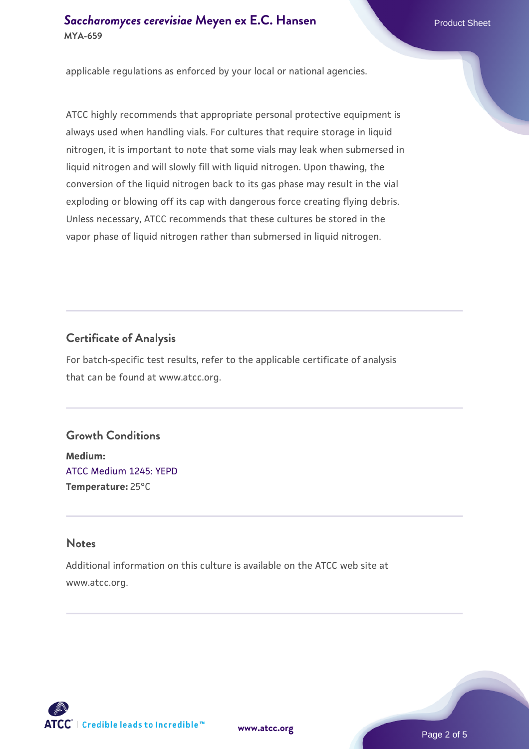applicable regulations as enforced by your local or national agencies.

ATCC highly recommends that appropriate personal protective equipment is always used when handling vials. For cultures that require storage in liquid nitrogen, it is important to note that some vials may leak when submersed in liquid nitrogen and will slowly fill with liquid nitrogen. Upon thawing, the conversion of the liquid nitrogen back to its gas phase may result in the vial exploding or blowing off its cap with dangerous force creating flying debris. Unless necessary, ATCC recommends that these cultures be stored in the vapor phase of liquid nitrogen rather than submersed in liquid nitrogen.

## **Certificate of Analysis**

For batch-specific test results, refer to the applicable certificate of analysis that can be found at www.atcc.org.

#### **Growth Conditions**

**Medium:**  [ATCC Medium 1245: YEPD](https://www.atcc.org/-/media/product-assets/documents/microbial-media-formulations/1/2/4/5/atcc-medium-1245.pdf?rev=705ca55d1b6f490a808a965d5c072196) **Temperature:** 25°C

#### **Notes**

Additional information on this culture is available on the ATCC web site at www.atcc.org.



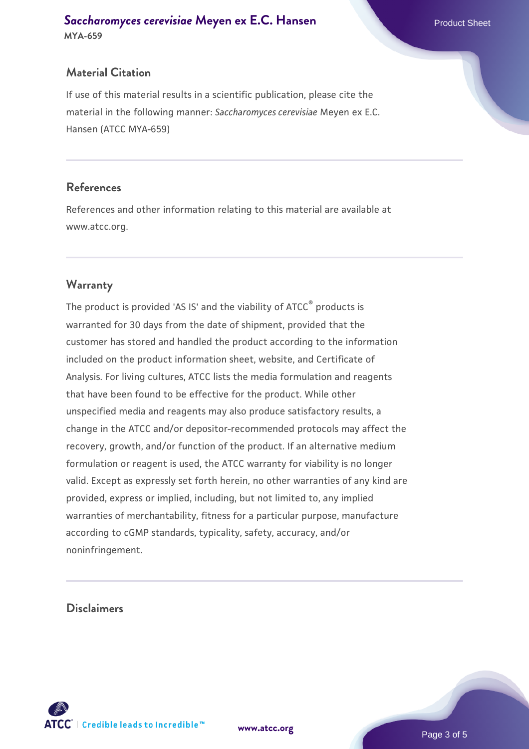#### **Material Citation**

If use of this material results in a scientific publication, please cite the material in the following manner: *Saccharomyces cerevisiae* Meyen ex E.C. Hansen (ATCC MYA-659)

#### **References**

References and other information relating to this material are available at www.atcc.org.

#### **Warranty**

The product is provided 'AS IS' and the viability of ATCC® products is warranted for 30 days from the date of shipment, provided that the customer has stored and handled the product according to the information included on the product information sheet, website, and Certificate of Analysis. For living cultures, ATCC lists the media formulation and reagents that have been found to be effective for the product. While other unspecified media and reagents may also produce satisfactory results, a change in the ATCC and/or depositor-recommended protocols may affect the recovery, growth, and/or function of the product. If an alternative medium formulation or reagent is used, the ATCC warranty for viability is no longer valid. Except as expressly set forth herein, no other warranties of any kind are provided, express or implied, including, but not limited to, any implied warranties of merchantability, fitness for a particular purpose, manufacture according to cGMP standards, typicality, safety, accuracy, and/or noninfringement.

#### **Disclaimers**



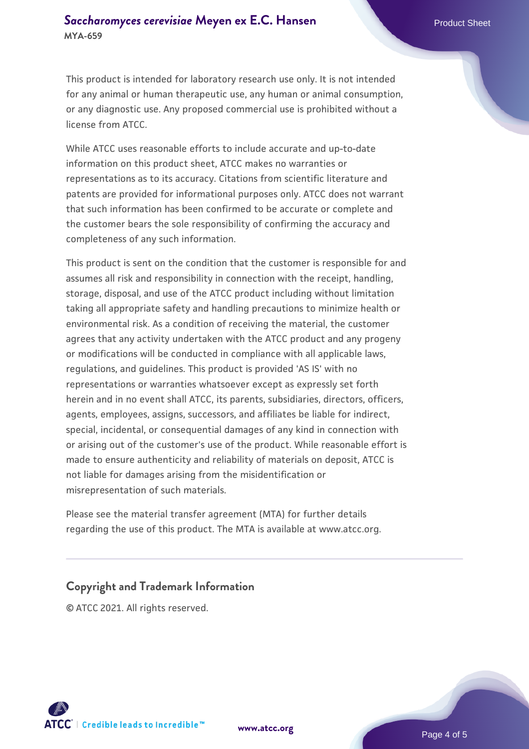This product is intended for laboratory research use only. It is not intended for any animal or human therapeutic use, any human or animal consumption, or any diagnostic use. Any proposed commercial use is prohibited without a license from ATCC.

While ATCC uses reasonable efforts to include accurate and up-to-date information on this product sheet, ATCC makes no warranties or representations as to its accuracy. Citations from scientific literature and patents are provided for informational purposes only. ATCC does not warrant that such information has been confirmed to be accurate or complete and the customer bears the sole responsibility of confirming the accuracy and completeness of any such information.

This product is sent on the condition that the customer is responsible for and assumes all risk and responsibility in connection with the receipt, handling, storage, disposal, and use of the ATCC product including without limitation taking all appropriate safety and handling precautions to minimize health or environmental risk. As a condition of receiving the material, the customer agrees that any activity undertaken with the ATCC product and any progeny or modifications will be conducted in compliance with all applicable laws, regulations, and guidelines. This product is provided 'AS IS' with no representations or warranties whatsoever except as expressly set forth herein and in no event shall ATCC, its parents, subsidiaries, directors, officers, agents, employees, assigns, successors, and affiliates be liable for indirect, special, incidental, or consequential damages of any kind in connection with or arising out of the customer's use of the product. While reasonable effort is made to ensure authenticity and reliability of materials on deposit, ATCC is not liable for damages arising from the misidentification or misrepresentation of such materials.

Please see the material transfer agreement (MTA) for further details regarding the use of this product. The MTA is available at www.atcc.org.

#### **Copyright and Trademark Information**

© ATCC 2021. All rights reserved.